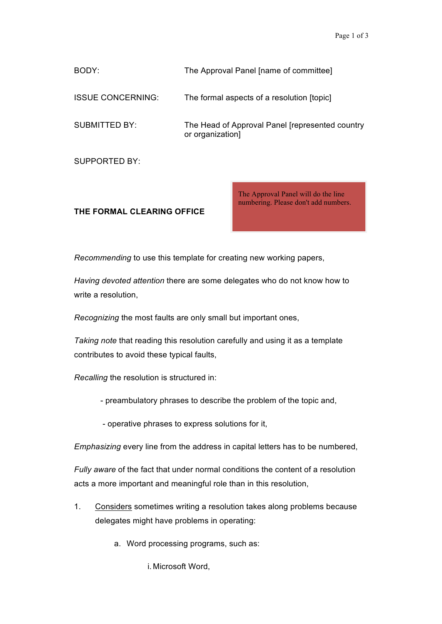BODY: The Approval Panel [name of committee] ISSUE CONCERNING: The formal aspects of a resolution [topic] SUBMITTED BY: The Head of Approval Panel [represented country or organization] SUPPORTED BY:

## **THE FORMAL CLEARING OFFICE**

The Approval Panel will do the line numbering. Please don't add numbers.

*Recommending* to use this template for creating new working papers,

*Having devoted attention* there are some delegates who do not know how to write a resolution,

*Recognizing* the most faults are only small but important ones,

*Taking note* that reading this resolution carefully and using it as a template contributes to avoid these typical faults,

*Recalling* the resolution is structured in:

- preambulatory phrases to describe the problem of the topic and,
- operative phrases to express solutions for it,

*Emphasizing* every line from the address in capital letters has to be numbered,

*Fully aware* of the fact that under normal conditions the content of a resolution acts a more important and meaningful role than in this resolution,

- 1. Considers sometimes writing a resolution takes along problems because delegates might have problems in operating:
	- a. Word processing programs, such as:

i. Microsoft Word,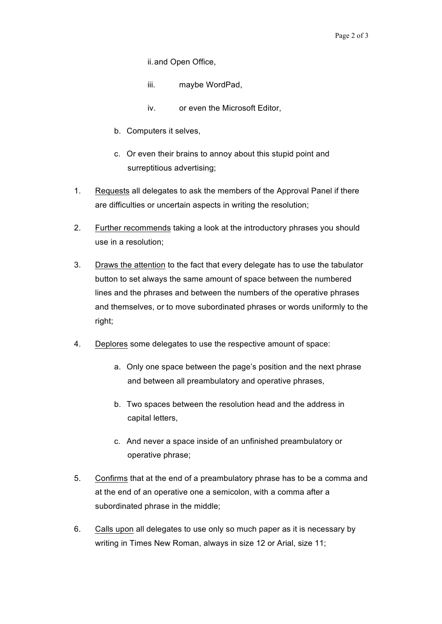ii.and Open Office,

- iii. maybe WordPad,
- iv. or even the Microsoft Editor,
- b. Computers it selves,
- c. Or even their brains to annoy about this stupid point and surreptitious advertising;
- 1. Requests all delegates to ask the members of the Approval Panel if there are difficulties or uncertain aspects in writing the resolution;
- 2. Further recommends taking a look at the introductory phrases you should use in a resolution;
- 3. Draws the attention to the fact that every delegate has to use the tabulator button to set always the same amount of space between the numbered lines and the phrases and between the numbers of the operative phrases and themselves, or to move subordinated phrases or words uniformly to the right;
- 4. Deplores some delegates to use the respective amount of space:
	- a. Only one space between the page's position and the next phrase and between all preambulatory and operative phrases,
	- b. Two spaces between the resolution head and the address in capital letters,
	- c. And never a space inside of an unfinished preambulatory or operative phrase;
- 5. Confirms that at the end of a preambulatory phrase has to be a comma and at the end of an operative one a semicolon, with a comma after a subordinated phrase in the middle;
- 6. Calls upon all delegates to use only so much paper as it is necessary by writing in Times New Roman, always in size 12 or Arial, size 11;